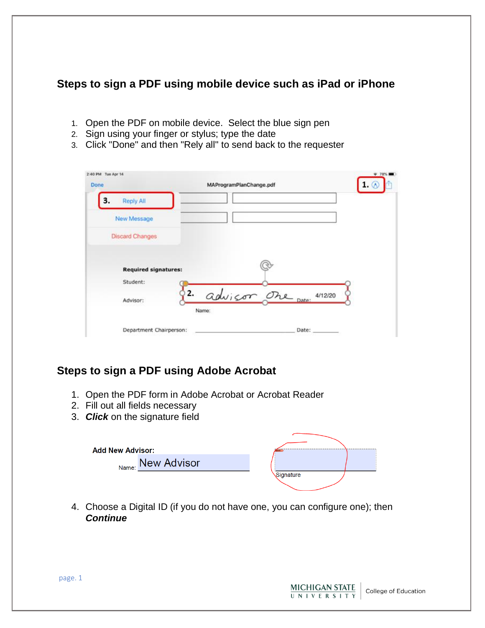# **Steps to sign a PDF using mobile device such as iPad or iPhone**

- 1. Open the PDF on mobile device. Select the blue sign pen
- 2. Sign using your finger or stylus; type the date
- 3. Click "Done" and then "Rely all" to send back to the requester

| Done                        | MAProgramPlanChange.pdf   |
|-----------------------------|---------------------------|
| з.<br><b>Reply All</b>      |                           |
| New Message                 |                           |
| <b>Discard Changes</b>      |                           |
|                             |                           |
| <b>Required signatures:</b> |                           |
| Student:                    |                           |
| 2.<br>Advisor:              | advisor one pate: 4/12/20 |
|                             | Name:                     |

# **Steps to sign a PDF using Adobe Acrobat**

- 1. Open the PDF form in Adobe Acrobat or Acrobat Reader
- 2. Fill out all fields necessary
- 3. *Click* on the signature field

| <b>Add New Advisor:</b> |                   |           |  |
|-------------------------|-------------------|-----------|--|
|                         | Name: New Advisor |           |  |
|                         |                   | Signature |  |

4. Choose a Digital ID (if you do not have one, you can configure one); then *Continue*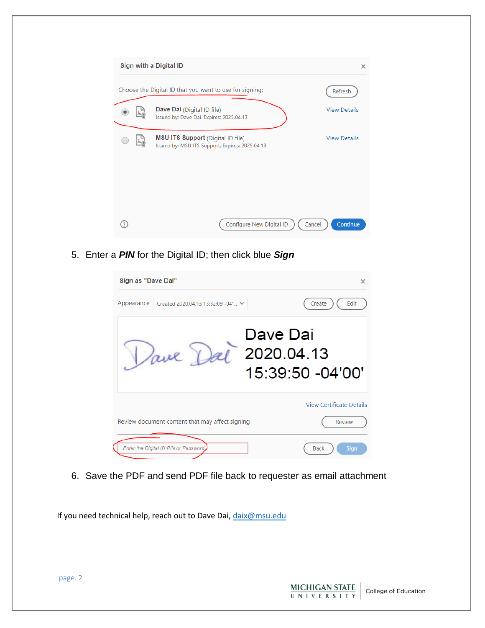| Sign with a Digital ID                                                                      | $\times$            |
|---------------------------------------------------------------------------------------------|---------------------|
| Choose the Digital ID that you want to use for signing:                                     | Refresh             |
| <b>Dave Dai</b> (Digital ID file)<br>Issued by: Dave Dai, Expires: 2025.04.13               | <b>View Details</b> |
| <b>MSU ITS Support</b> (Digital ID file)<br>Issued by: MSU ITS Support, Expires: 2025.04.13 | <b>View Details</b> |
| Configure New Digital ID                                                                    | Continue<br>Cancel  |

5. Enter a *PIN* for the Digital ID; then click blue *Sign*

| Sign as "Dave Dai"                               | $\times$                       |
|--------------------------------------------------|--------------------------------|
| Appearance<br>Created 2020.04.13 13:32:09 -04' V | Create<br>Edit                 |
| Dave Dai<br>ave                                  | 2020.04.13<br>15:39:50 -04'00' |
|                                                  | View Certificate Details       |
| Review document content that may affect signing  | Review                         |
| Enter the Digital ID PIN or Password,            | <b>Back</b><br><b>Sign</b>     |

6. Save the PDF and send PDF file back to requester as email attachment

**MICHIGAN STATE** 

UNIVERSITY

College of Education

If you need technical help, reach out to Dave Dai, [daix@msu.edu](mailto:daix@msu.edu)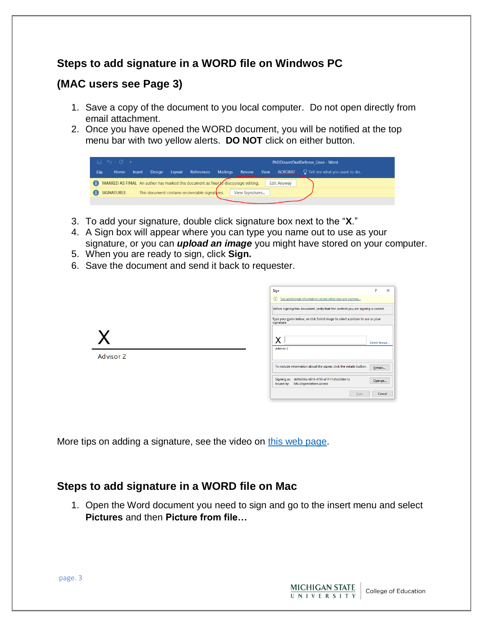# **Steps to add signature in a WORD file on Windwos PC**

# **(MAC users see Page 3)**

- 1. Save a copy of the document to you local computer. Do not open directly from email attachment.
- 2. Once you have opened the WORD document, you will be notified at the top menu bar with two yellow alerts. **DO NOT** click on either button.

|      | $\Box$ 5 $\cdot$ 0 $\cdot$ 5 |        |        |        |                                                                                    |                 |                 |      | PhDDissertOralDefense Lisee - Word |                                      |  |
|------|------------------------------|--------|--------|--------|------------------------------------------------------------------------------------|-----------------|-----------------|------|------------------------------------|--------------------------------------|--|
| File | Home                         | Insert | Desian | Layout | References                                                                         | <b>Mailings</b> | Review          | View | <b>ACROBAT</b>                     | $\Omega$ Tell me what you want to do |  |
| A    |                              |        |        |        | MARKED AS FINAL An author has marked this document as final to discourage editing. |                 |                 |      | Edit Anyway                        |                                      |  |
|      | <b>SIGNATURES</b>            |        |        |        | This document contains recoverable signatures.                                     |                 | View Signatures |      |                                    |                                      |  |
|      |                              |        |        |        |                                                                                    |                 |                 |      |                                    |                                      |  |

- 3. To add your signature, double click signature box next to the "**X**."
- 4. A Sign box will appear where you can type you name out to use as your signature, or you can *upload an image* you might have stored on your computer.
- 5. When you are ready to sign, click **Sign.**
- 6. Save the document and send it back to requester.

|           | Sign<br>י                                                                                             | $\times$ |
|-----------|-------------------------------------------------------------------------------------------------------|----------|
|           | $\bigcirc$<br>See additional information about what you are signing                                   |          |
|           | Before signing this document, verify that the content you are signing is correct.                     |          |
|           | Type your name below, or click Select Image to select a picture to use as your<br>signature:          |          |
|           | x<br>Select Image<br>Advisor 2                                                                        |          |
| Advisor 2 |                                                                                                       |          |
|           | To include information about the signer, click the details button.<br>Details                         |          |
|           | ddfb306a-8815-4790-af1f-f1d5a20dec1a<br>Signing as:<br>Change<br>MS-Organization-Access<br>Issued by: |          |
|           | Sign                                                                                                  | Cancel   |

More tips on adding a signature, see the video on [this web page.](https://www.bettercloud.com/monitor/the-academy/how-to-add-a-signature-to-a-word-document/)

# **Steps to add signature in a WORD file on Mac**

1. Open the Word document you need to sign and go to the insert menu and select **Pictures** and then **Picture from file…**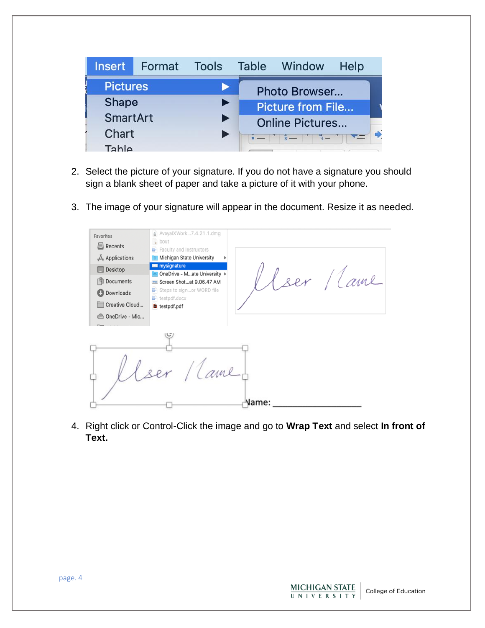| <b>Insert</b>   | Format | Tools | Table Window                                                  | Help |  |
|-----------------|--------|-------|---------------------------------------------------------------|------|--|
| <b>Pictures</b> |        |       | Photo Browser                                                 |      |  |
| Shape           |        |       | <b>Picture from File</b>                                      |      |  |
| <b>SmartArt</b> |        |       | <b>Online Pictures</b>                                        |      |  |
| Chart           |        |       | $\frac{2}{3}$ - $\frac{1}{3}$ - $\frac{1}{3}$ - $\frac{1}{3}$ |      |  |
| Tahle           |        |       |                                                               |      |  |

- 2. Select the picture of your signature. If you do not have a signature you should sign a blank sheet of paper and take a picture of it with your phone.
- 3. The image of your signature will appear in the document. Resize it as needed.

| Favorites<br><b>I</b> Recents<br>$A$ Applications<br>Desktop<br><b>Documents</b><br><b>D</b> Downloads<br>Creative Cloud<br>OneDrive - Mic | AvayalXWork7.4.21.1.dmg<br>ħ<br>bout<br><b>B</b> Faculty and Instructors<br>Michigan State University<br>mysignature<br>ser lame<br>OneDrive - Mate University ▶<br>Screen Shotat 9.06.47 AM<br>Steps to signor WORD file<br>œ<br>testpdf.docx<br>testpdf.pdf |
|--------------------------------------------------------------------------------------------------------------------------------------------|---------------------------------------------------------------------------------------------------------------------------------------------------------------------------------------------------------------------------------------------------------------|
|                                                                                                                                            | ame<br>Name:                                                                                                                                                                                                                                                  |

4. Right click or Control-Click the image and go to **Wrap Text** and select **In front of Text.**